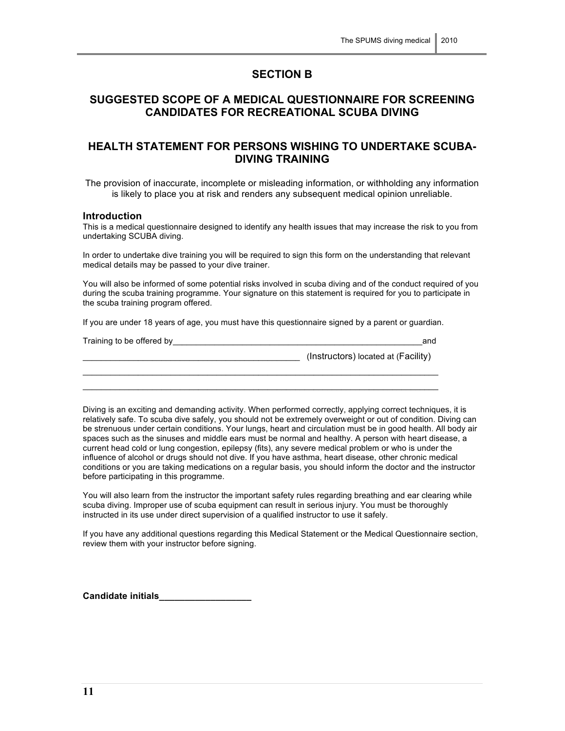## **SECTION B**

# **SUGGESTED SCOPE OF A MEDICAL QUESTIONNAIRE FOR SCREENING CANDIDATES FOR RECREATIONAL SCUBA DIVING**

# **HEALTH STATEMENT FOR PERSONS WISHING TO UNDERTAKE SCUBA-DIVING TRAINING**

The provision of inaccurate, incomplete or misleading information, or withholding any information is likely to place you at risk and renders any subsequent medical opinion unreliable.

#### **Introduction**

This is a medical questionnaire designed to identify any health issues that may increase the risk to you from undertaking SCUBA diving.

In order to undertake dive training you will be required to sign this form on the understanding that relevant medical details may be passed to your dive trainer.

You will also be informed of some potential risks involved in scuba diving and of the conduct required of you during the scuba training programme. Your signature on this statement is required for you to participate in the scuba training program offered.

If you are under 18 years of age, you must have this questionnaire signed by a parent or guardian.

| Training to be offered by | and                                 |
|---------------------------|-------------------------------------|
|                           | (Instructors) located at (Facility) |
|                           |                                     |

 $\_$  , and the set of the set of the set of the set of the set of the set of the set of the set of the set of the set of the set of the set of the set of the set of the set of the set of the set of the set of the set of th

Diving is an exciting and demanding activity. When performed correctly, applying correct techniques, it is relatively safe. To scuba dive safely, you should not be extremely overweight or out of condition. Diving can be strenuous under certain conditions. Your lungs, heart and circulation must be in good health. All body air spaces such as the sinuses and middle ears must be normal and healthy. A person with heart disease, a current head cold or lung congestion, epilepsy (fits), any severe medical problem or who is under the influence of alcohol or drugs should not dive. If you have asthma, heart disease, other chronic medical conditions or you are taking medications on a regular basis, you should inform the doctor and the instructor before participating in this programme.

You will also learn from the instructor the important safety rules regarding breathing and ear clearing while scuba diving. Improper use of scuba equipment can result in serious injury. You must be thoroughly instructed in its use under direct supervision of a qualified instructor to use it safely.

If you have any additional questions regarding this Medical Statement or the Medical Questionnaire section, review them with your instructor before signing.

**Candidate initials\_\_\_\_\_\_\_\_\_\_\_\_\_\_\_\_\_\_**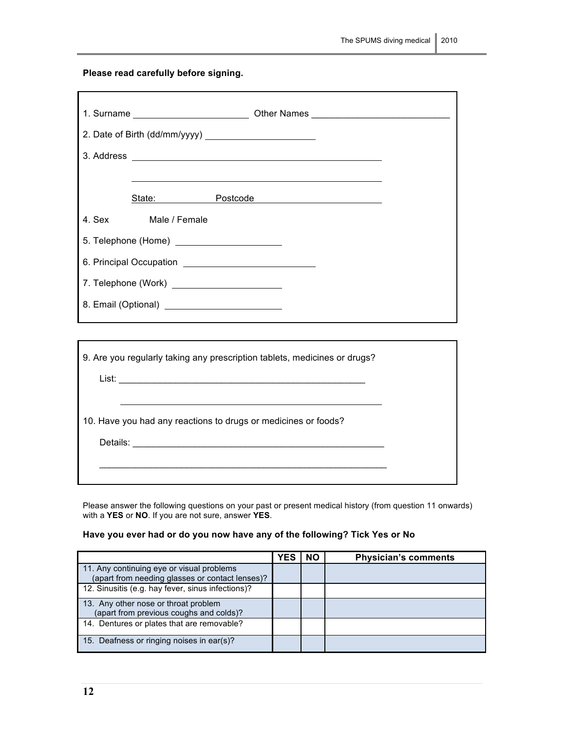**Please read carefully before signing.**

|        |               | State: Postcode Postcone |  |  |  |
|--------|---------------|--------------------------|--|--|--|
| 4. Sex | Male / Female |                          |  |  |  |
|        |               |                          |  |  |  |
|        |               |                          |  |  |  |
|        |               |                          |  |  |  |
|        |               |                          |  |  |  |
|        |               |                          |  |  |  |

| 9. Are you regularly taking any prescription tablets, medicines or drugs? |  |
|---------------------------------------------------------------------------|--|
|                                                                           |  |
| 10. Have you had any reactions to drugs or medicines or foods?            |  |
|                                                                           |  |
|                                                                           |  |

Please answer the following questions on your past or present medical history (from question 11 onwards) with a **YES** or **NO**. If you are not sure, answer **YES**.

**Have you ever had or do you now have any of the following? Tick Yes or No**

|                                                                                              | YES | <b>NO</b> | <b>Physician's comments</b> |
|----------------------------------------------------------------------------------------------|-----|-----------|-----------------------------|
| 11. Any continuing eye or visual problems<br>(apart from needing glasses or contact lenses)? |     |           |                             |
| 12. Sinusitis (e.g. hay fever, sinus infections)?                                            |     |           |                             |
| 13. Any other nose or throat problem<br>(apart from previous coughs and colds)?              |     |           |                             |
| 14. Dentures or plates that are removable?                                                   |     |           |                             |
| 15. Deafness or ringing noises in ear(s)?                                                    |     |           |                             |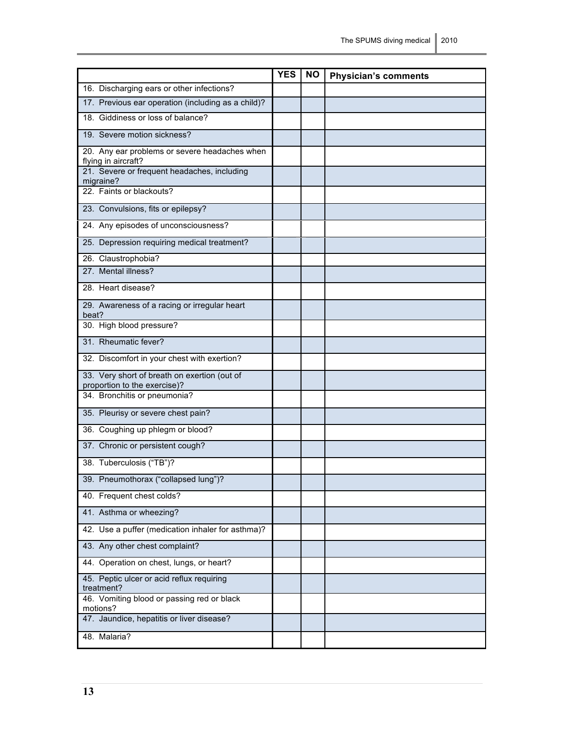|                                                                              | <b>YES</b> | NO. | <b>Physician's comments</b> |
|------------------------------------------------------------------------------|------------|-----|-----------------------------|
| 16. Discharging ears or other infections?                                    |            |     |                             |
| 17. Previous ear operation (including as a child)?                           |            |     |                             |
| 18. Giddiness or loss of balance?                                            |            |     |                             |
| 19. Severe motion sickness?                                                  |            |     |                             |
| 20. Any ear problems or severe headaches when<br>flying in aircraft?         |            |     |                             |
| 21. Severe or frequent headaches, including<br>migraine?                     |            |     |                             |
| 22. Faints or blackouts?                                                     |            |     |                             |
| 23. Convulsions, fits or epilepsy?                                           |            |     |                             |
| 24. Any episodes of unconsciousness?                                         |            |     |                             |
| 25. Depression requiring medical treatment?                                  |            |     |                             |
| 26. Claustrophobia?                                                          |            |     |                             |
| 27. Mental illness?                                                          |            |     |                             |
| 28. Heart disease?                                                           |            |     |                             |
| 29. Awareness of a racing or irregular heart<br>beat?                        |            |     |                             |
| 30. High blood pressure?                                                     |            |     |                             |
| 31. Rheumatic fever?                                                         |            |     |                             |
| 32. Discomfort in your chest with exertion?                                  |            |     |                             |
| 33. Very short of breath on exertion (out of<br>proportion to the exercise)? |            |     |                             |
| 34. Bronchitis or pneumonia?                                                 |            |     |                             |
| 35. Pleurisy or severe chest pain?                                           |            |     |                             |
| 36. Coughing up phlegm or blood?                                             |            |     |                             |
| 37. Chronic or persistent cough?                                             |            |     |                             |
| 38. Tuberculosis ("TB")?                                                     |            |     |                             |
| 39. Pneumothorax ("collapsed lung")?                                         |            |     |                             |
| 40. Frequent chest colds?                                                    |            |     |                             |
| 41. Asthma or wheezing?                                                      |            |     |                             |
| 42. Use a puffer (medication inhaler for asthma)?                            |            |     |                             |
| 43. Any other chest complaint?                                               |            |     |                             |
| 44. Operation on chest, lungs, or heart?                                     |            |     |                             |
| 45. Peptic ulcer or acid reflux requiring<br>treatment?                      |            |     |                             |
| 46. Vomiting blood or passing red or black<br>motions?                       |            |     |                             |
| 47. Jaundice, hepatitis or liver disease?                                    |            |     |                             |
| 48. Malaria?                                                                 |            |     |                             |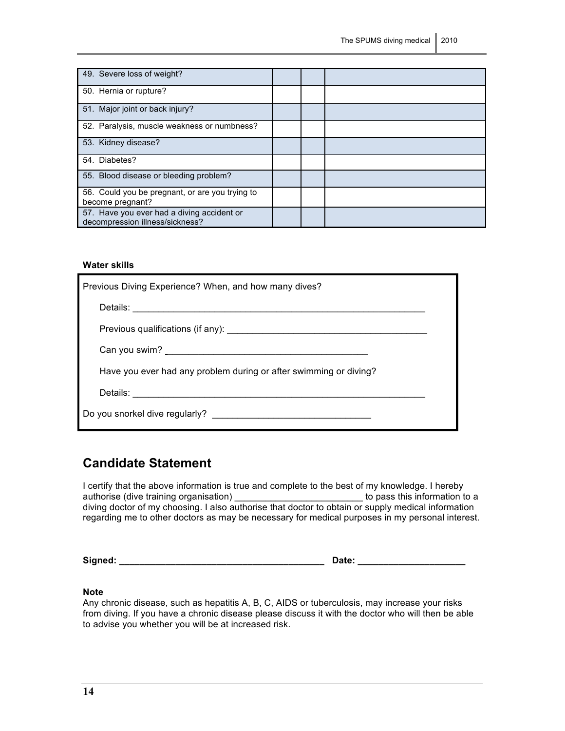| 49. Severe loss of weight?                                                    |  |  |
|-------------------------------------------------------------------------------|--|--|
| 50. Hernia or rupture?                                                        |  |  |
| 51. Major joint or back injury?                                               |  |  |
| 52. Paralysis, muscle weakness or numbness?                                   |  |  |
| 53. Kidney disease?                                                           |  |  |
| 54. Diabetes?                                                                 |  |  |
| 55. Blood disease or bleeding problem?                                        |  |  |
| 56. Could you be pregnant, or are you trying to<br>become pregnant?           |  |  |
| 57. Have you ever had a diving accident or<br>decompression illness/sickness? |  |  |

#### **Water skills**

| Previous Diving Experience? When, and how many dives?             |  |
|-------------------------------------------------------------------|--|
|                                                                   |  |
|                                                                   |  |
|                                                                   |  |
| Have you ever had any problem during or after swimming or diving? |  |
|                                                                   |  |
|                                                                   |  |

# **Candidate Statement**

I certify that the above information is true and complete to the best of my knowledge. I hereby authorise (dive training organisation) \_\_\_\_\_\_\_\_\_\_\_\_\_\_\_\_\_\_\_\_\_\_\_\_\_\_\_\_\_\_\_to pass this information to a diving doctor of my choosing. I also authorise that doctor to obtain or supply medical information regarding me to other doctors as may be necessary for medical purposes in my personal interest.

**Signed: \_\_\_\_\_\_\_\_\_\_\_\_\_\_\_\_\_\_\_\_\_\_\_\_\_\_\_\_\_\_\_\_\_\_\_\_\_\_\_\_ Date: \_\_\_\_\_\_\_\_\_\_\_\_\_\_\_\_\_\_\_\_\_**

| te: |  |  |  |  |  |  |  |  |
|-----|--|--|--|--|--|--|--|--|
|     |  |  |  |  |  |  |  |  |

#### **Note**

Any chronic disease, such as hepatitis A, B, C, AIDS or tuberculosis, may increase your risks from diving. If you have a chronic disease please discuss it with the doctor who will then be able to advise you whether you will be at increased risk.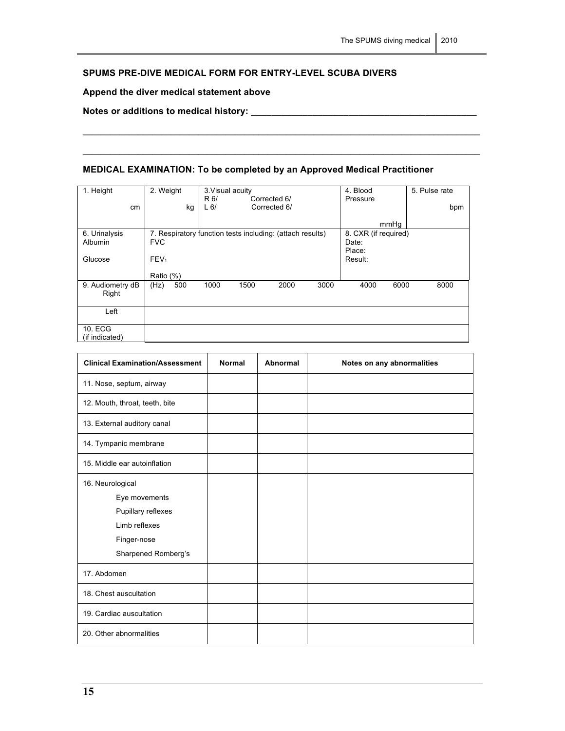### **SPUMS PRE-DIVE MEDICAL FORM FOR ENTRY-LEVEL SCUBA DIVERS**

### **Append the diver medical statement above**

**Notes or additions to medical history: \_\_\_\_\_\_\_\_\_\_\_\_\_\_\_\_\_\_\_\_\_\_\_\_\_\_\_\_\_\_\_\_\_\_\_\_\_\_\_\_\_\_\_\_**

# **MEDICAL EXAMINATION: To be completed by an Approved Medical Practitioner**

 $\_$  . The contribution of the contribution of the contribution of the contribution of the contribution of the contribution of the contribution of the contribution of the contribution of the contribution of the contributio

 $\_$  . The contribution of the contribution of the contribution of the contribution of the contribution of the contribution of the contribution of the contribution of the contribution of the contribution of the contributio

| 1. Height                 | 2. Weight        | 3. Visual acuity<br>R 6/<br>Corrected 6/                  | 4. Blood<br>Pressure                    | 5. Pulse rate |
|---------------------------|------------------|-----------------------------------------------------------|-----------------------------------------|---------------|
| cm                        | kg               | L <sub>6</sub><br>Corrected 6/                            |                                         | bpm           |
|                           |                  |                                                           | mmHq                                    |               |
| 6. Urinalysis<br>Albumin  | <b>FVC</b>       | 7. Respiratory function tests including: (attach results) | 8. CXR (if required)<br>Date:<br>Place: |               |
| Glucose                   | FEV <sub>1</sub> |                                                           | Result:                                 |               |
|                           | Ratio (%)        |                                                           |                                         |               |
| 9. Audiometry dB<br>Right | (Hz)<br>500      | 1000<br>1500<br>2000<br>3000                              | 4000<br>6000                            | 8000          |
| Left                      |                  |                                                           |                                         |               |
| 10. ECG<br>(if indicated) |                  |                                                           |                                         |               |

| <b>Clinical Examination/Assessment</b>                                                                         | <b>Normal</b> | <b>Abnormal</b> | Notes on any abnormalities |
|----------------------------------------------------------------------------------------------------------------|---------------|-----------------|----------------------------|
| 11. Nose, septum, airway                                                                                       |               |                 |                            |
| 12. Mouth, throat, teeth, bite                                                                                 |               |                 |                            |
| 13. External auditory canal                                                                                    |               |                 |                            |
| 14. Tympanic membrane                                                                                          |               |                 |                            |
| 15. Middle ear autoinflation                                                                                   |               |                 |                            |
| 16. Neurological<br>Eye movements<br>Pupillary reflexes<br>Limb reflexes<br>Finger-nose<br>Sharpened Romberg's |               |                 |                            |
| 17. Abdomen                                                                                                    |               |                 |                            |
| 18. Chest auscultation                                                                                         |               |                 |                            |
| 19. Cardiac auscultation                                                                                       |               |                 |                            |
| 20. Other abnormalities                                                                                        |               |                 |                            |